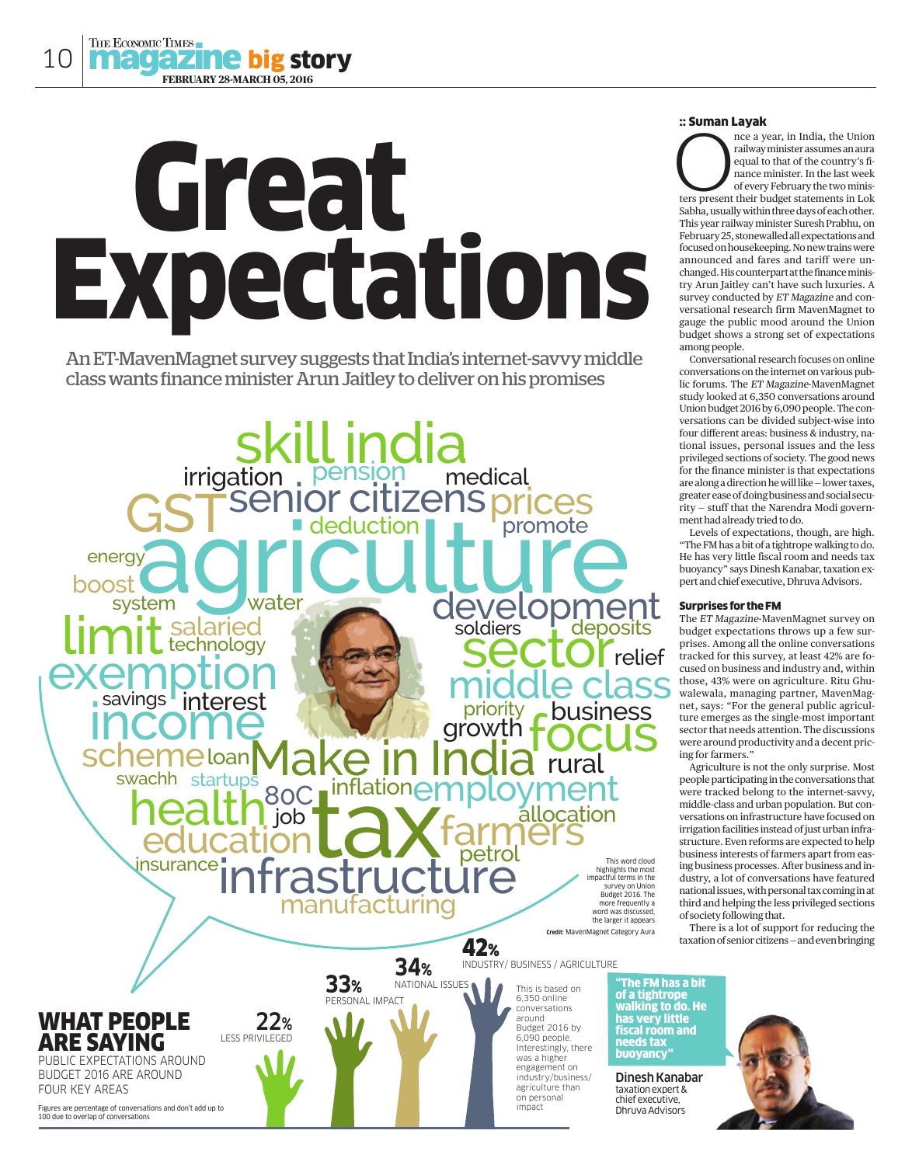# Great Expectations

An ET-MavenMagnet survey suggests that India's internet-savvy middle class wants finance minister Arun Jaitley to deliver on his promises



#### :: Suman Layak

nce a year, in India, the Union railway minister assumes an aura equal to that of the country's finance minister. In the last week of every February the two minis-The a year, in India, the Union<br>railway minister assumes an aura<br>equal to that of the country's fi-<br>nance minister. In the last week<br>of every February the two ministers<br>present their budget statements in Lok Sabha, usually within three days of each other. This year railway minister Suresh Prabhu, on February 25, stonewalled all expectations and focused on housekeeping. No new trains were announced and fares and tariff were unchanged. His counterpart at the finance ministry Arun Jaitley can't have such luxuries. A survey conducted by ET Magazine and conversational research firm MavenMagnet to gauge the public mood around the Union budget shows a strong set of expectations

among people. Conversational research focuses on online conversations on the internet on various public forums. The ET Magazine-MavenMagnet study looked at 6,350 conversations around Union budget 2016 by 6,090 people. The conversations can be divided subject-wise into four different areas: business & industry, national issues, personal issues and the less privileged sections of society. The good news for the finance minister is that expectations are along a direction he will like — lower taxes, greater ease of doing business and social security — stuff that the Narendra Modi government had already tried to do.

Levels of expectations, though, are high. "The FM has a bit of a tightrope walking to do. He has very little fiscal room and needs tax buoyancy" says Dinesh Kanabar, taxation expert and chief executive, Dhruva Advisors.

## Surprises for the FM

The ET Magazine-MavenMagnet survey on budget expectations throws up a few surprises. Among all the online conversations tracked for this survey, at least 42% are focused on business and industry and, within those, 43% were on agriculture. Ritu Ghuwalewala, managing partner, MavenMagnet, says: "For the general public agriculture emerges as the single-most important sector that needs attention. The discussions were around productivity and a decent pricing for farmers."

Agriculture is not the only surprise. Most people participating in the conversations that were tracked belong to the internet-savvy, middle-class and urban population. But conversations on infrastructure have focused on irrigation facilities instead of just urban infrastructure. Even reforms are expected to help business interests of farmers apart from easing business processes. After business and industry, a lot of conversations have featured national issues, with personal tax coming in at third and helping the less privileged sections of society following that.

There is a lot of support for reducing the taxation of senior citizens — and even bringing

"The FM has a bit of a tightrope walking to do. He has very little fiscal room and

Dinesh Kanabar